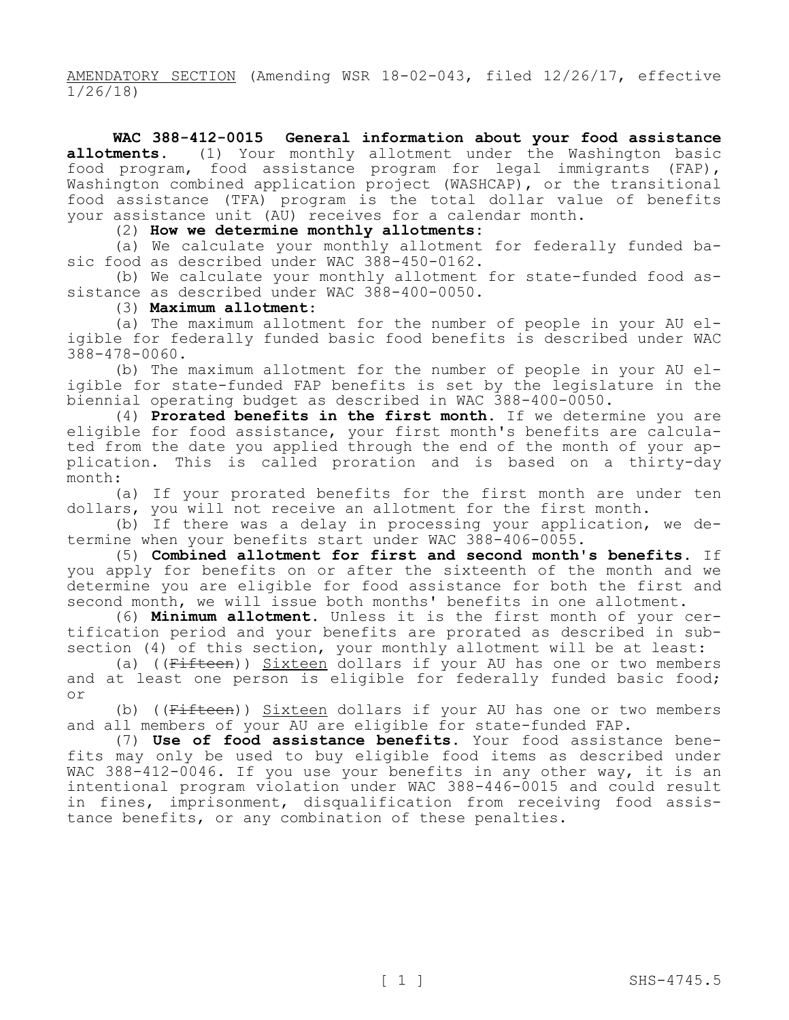AMENDATORY SECTION (Amending WSR 18-02-043, filed 12/26/17, effective 1/26/18)

**WAC 388-412-0015 General information about your food assistance allotments.** (1) Your monthly allotment under the Washington basic food program, food assistance program for legal immigrants (FAP), Washington combined application project (WASHCAP), or the transitional food assistance (TFA) program is the total dollar value of benefits your assistance unit (AU) receives for a calendar month.

(2) **How we determine monthly allotments:**

(a) We calculate your monthly allotment for federally funded basic food as described under WAC 388-450-0162.

(b) We calculate your monthly allotment for state-funded food assistance as described under WAC 388-400-0050.

## (3) **Maximum allotment**:

(a) The maximum allotment for the number of people in your AU eligible for federally funded basic food benefits is described under WAC 388-478-0060.

(b) The maximum allotment for the number of people in your AU eligible for state-funded FAP benefits is set by the legislature in the biennial operating budget as described in WAC 388-400-0050.

(4) **Prorated benefits in the first month.** If we determine you are eligible for food assistance, your first month's benefits are calculated from the date you applied through the end of the month of your application. This is called proration and is based on a thirty-day month:

(a) If your prorated benefits for the first month are under ten dollars, you will not receive an allotment for the first month.

(b) If there was a delay in processing your application, we determine when your benefits start under WAC 388-406-0055.

(5) **Combined allotment for first and second month's benefits.** If you apply for benefits on or after the sixteenth of the month and we determine you are eligible for food assistance for both the first and second month, we will issue both months' benefits in one allotment.

(6) **Minimum allotment.** Unless it is the first month of your certification period and your benefits are prorated as described in subsection (4) of this section, your monthly allotment will be at least:

(a) ((Fifteen)) Sixteen dollars if your AU has one or two members and at least one person is eligible for federally funded basic food; or

(b) ((Fifteen)) Sixteen dollars if your AU has one or two members and all members of your AU are eligible for state-funded FAP.

(7) **Use of food assistance benefits.** Your food assistance benefits may only be used to buy eligible food items as described under WAC 388-412-0046. If you use your benefits in any other way, it is an intentional program violation under WAC 388-446-0015 and could result in fines, imprisonment, disqualification from receiving food assistance benefits, or any combination of these penalties.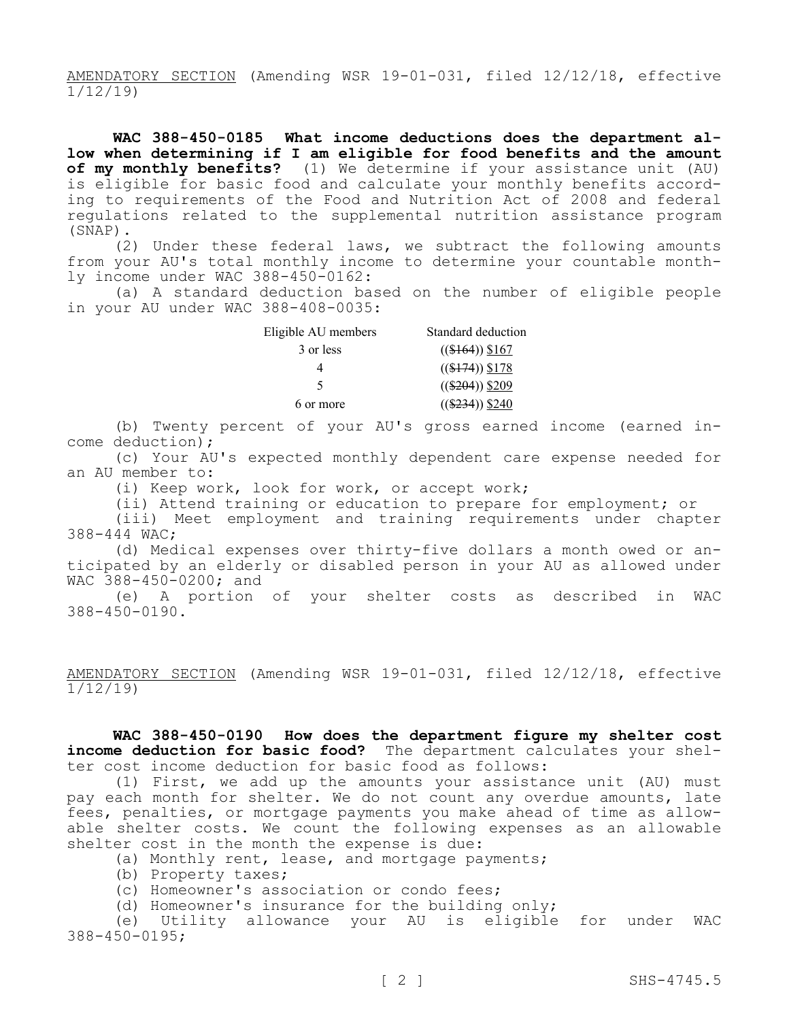AMENDATORY SECTION (Amending WSR 19-01-031, filed 12/12/18, effective 1/12/19)

**WAC 388-450-0185 What income deductions does the department allow when determining if I am eligible for food benefits and the amount of my monthly benefits?** (1) We determine if your assistance unit (AU) is eligible for basic food and calculate your monthly benefits according to requirements of the Food and Nutrition Act of 2008 and federal regulations related to the supplemental nutrition assistance program (SNAP).

(2) Under these federal laws, we subtract the following amounts from your AU's total monthly income to determine your countable monthly income under WAC 388-450-0162:

(a) A standard deduction based on the number of eligible people in your AU under WAC 388-408-0035:

| Eligible AU members | Standard deduction |  |  |
|---------------------|--------------------|--|--|
| 3 or less           | $((\$164))$ \$167  |  |  |
|                     | $((\$174))$ \$178  |  |  |
| 5                   | $((\$204))$ \$209  |  |  |
| 6 or more           | $((\$234))$ \$240  |  |  |

(b) Twenty percent of your AU's gross earned income (earned income deduction);

(c) Your AU's expected monthly dependent care expense needed for an AU member to:

(i) Keep work, look for work, or accept work;

(ii) Attend training or education to prepare for employment; or

(iii) Meet employment and training requirements under chapter 388-444 WAC;

(d) Medical expenses over thirty-five dollars a month owed or anticipated by an elderly or disabled person in your AU as allowed under WAC 388-450-0200; and

(e) A portion of your shelter costs as described in WAC 388-450-0190.

AMENDATORY SECTION (Amending WSR 19-01-031, filed 12/12/18, effective 1/12/19)

**WAC 388-450-0190 How does the department figure my shelter cost income deduction for basic food?** The department calculates your shelter cost income deduction for basic food as follows:

(1) First, we add up the amounts your assistance unit (AU) must pay each month for shelter. We do not count any overdue amounts, late fees, penalties, or mortgage payments you make ahead of time as allowable shelter costs. We count the following expenses as an allowable shelter cost in the month the expense is due:

(a) Monthly rent, lease, and mortgage payments;

- (b) Property taxes;
- (c) Homeowner's association or condo fees;
- (d) Homeowner's insurance for the building only;

(e) Utility allowance your AU is eligible for under WAC 388-450-0195;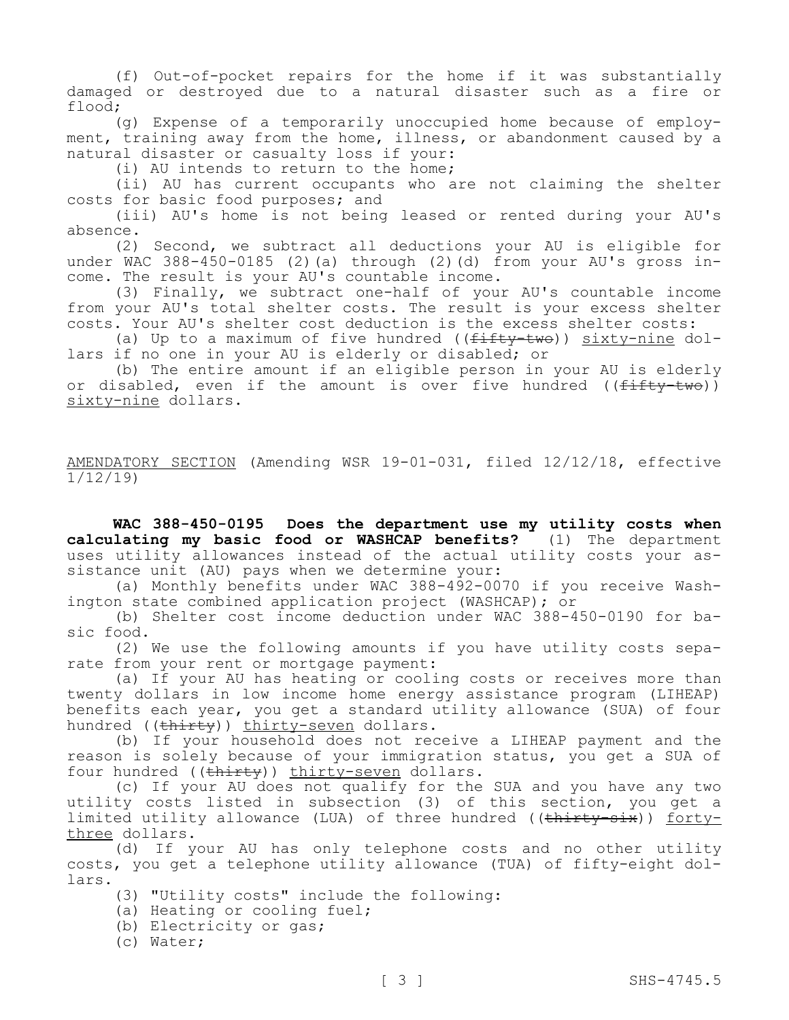(f) Out-of-pocket repairs for the home if it was substantially damaged or destroyed due to a natural disaster such as a fire or flood;

(g) Expense of a temporarily unoccupied home because of employment, training away from the home, illness, or abandonment caused by a natural disaster or casualty loss if your:

(i) AU intends to return to the home;

(ii) AU has current occupants who are not claiming the shelter costs for basic food purposes; and

(iii) AU's home is not being leased or rented during your AU's absence.

(2) Second, we subtract all deductions your AU is eligible for under WAC 388-450-0185 (2)(a) through (2)(d) from your AU's gross income. The result is your AU's countable income.

(3) Finally, we subtract one-half of your AU's countable income from your AU's total shelter costs. The result is your excess shelter costs. Your AU's shelter cost deduction is the excess shelter costs:

(a) Up to a maximum of five hundred ( $(f \text{iff } y \text{)}$ ) sixty-nine dollars if no one in your AU is elderly or disabled; or

(b) The entire amount if an eligible person in your AU is elderly or disabled, even if the amount is over five hundred ( $(f<sup>if</sup>ffty-two)$ ) sixty-nine dollars.

AMENDATORY SECTION (Amending WSR 19-01-031, filed 12/12/18, effective 1/12/19)

**WAC 388-450-0195 Does the department use my utility costs when calculating my basic food or WASHCAP benefits?** (1) The department uses utility allowances instead of the actual utility costs your assistance unit (AU) pays when we determine your:

(a) Monthly benefits under WAC 388-492-0070 if you receive Washington state combined application project (WASHCAP); or

(b) Shelter cost income deduction under WAC 388-450-0190 for basic food.

(2) We use the following amounts if you have utility costs separate from your rent or mortgage payment:

(a) If your AU has heating or cooling costs or receives more than twenty dollars in low income home energy assistance program (LIHEAP) benefits each year, you get a standard utility allowance (SUA) of four hundred ((thirty)) thirty-seven dollars.

(b) If your household does not receive a LIHEAP payment and the reason is solely because of your immigration status, you get a SUA of four hundred ((thirty)) thirty-seven dollars.

(c) If your AU does not qualify for the SUA and you have any two utility costs listed in subsection (3) of this section, you get a limited utility allowance (LUA) of three hundred ((thirty-six)) fortythree dollars.

(d) If your AU has only telephone costs and no other utility costs, you get a telephone utility allowance (TUA) of fifty-eight dollars.

(3) "Utility costs" include the following:

(a) Heating or cooling fuel;

(b) Electricity or gas;

(c) Water;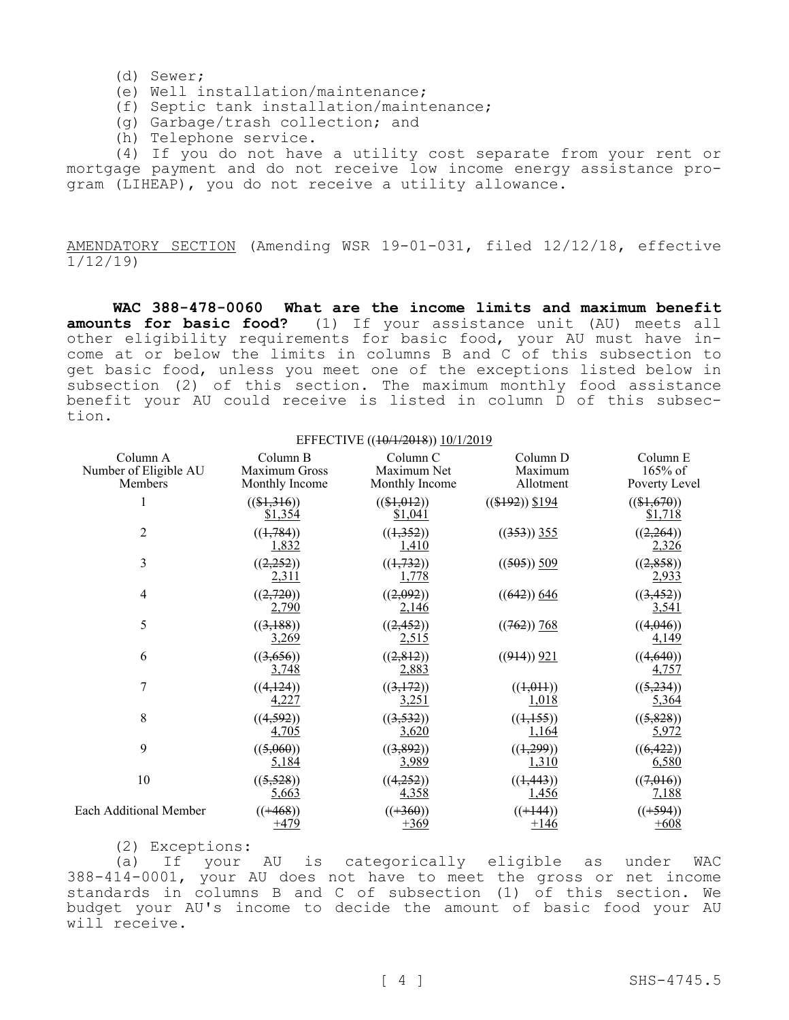- (d) Sewer;
- (e) Well installation/maintenance;
- (f) Septic tank installation/maintenance;
- (g) Garbage/trash collection; and
- (h) Telephone service.

(4) If you do not have a utility cost separate from your rent or mortgage payment and do not receive low income energy assistance program (LIHEAP), you do not receive a utility allowance.

AMENDATORY SECTION (Amending WSR 19-01-031, filed 12/12/18, effective 1/12/19)

**WAC 388-478-0060 What are the income limits and maximum benefit amounts for basic food?** (1) If your assistance unit (AU) meets all other eligibility requirements for basic food, your AU must have income at or below the limits in columns B and C of this subsection to get basic food, unless you meet one of the exceptions listed below in subsection (2) of this section. The maximum monthly food assistance benefit your AU could receive is listed in column D of this subsection.

| EFFECTIVE ((40/1/2018)) 10/1/2019            |                                             |                                                      |                                                                  |                                        |  |
|----------------------------------------------|---------------------------------------------|------------------------------------------------------|------------------------------------------------------------------|----------------------------------------|--|
| Column A<br>Number of Eligible AU<br>Members | Column B<br>Maximum Gross<br>Monthly Income | Column <sub>C</sub><br>Maximum Net<br>Monthly Income | Column D<br>Maximum<br>Allotment                                 | Column E<br>$165%$ of<br>Poverty Level |  |
|                                              | $((\$1,316))$<br>\$1,354                    | $((\$1,012))$<br>\$1,041                             | $((\$192))$ \$194                                                | $((\$1,670))$<br>\$1,718               |  |
| $\overline{2}$                               | ((1, 784))<br>1,832                         | ((1,352))<br>1,410                                   | $((353))$ 355                                                    | ((2,264))<br>2,326                     |  |
| 3                                            | ((2,252))<br>2,311                          | ((1, 732))<br>1,778                                  | $((505))$ 509                                                    | ((2,858))<br>2,933                     |  |
| 4                                            | ((2,720))<br>2,790                          | ((2,092))<br>2,146                                   | $((642))$ 646                                                    | ((3, 452))<br><u>3,541</u>             |  |
| 5                                            | ((3,188))<br>3,269                          | ((2, 452))<br>2,515                                  | $((762))$ 768                                                    | ((4,046))<br>4,149                     |  |
| 6                                            | ((3,656))<br><u>3,748</u>                   | ((2,812))<br><u>2,883</u>                            | $((914))$ 921                                                    | ((4,640))<br>4,757                     |  |
| 7                                            | ((4, 124))<br>4,227                         | ((3,172))<br><u>3,251</u>                            | ((1,011))<br>1,018                                               | ((5,234))<br>5,364                     |  |
| $\,$ 8 $\,$                                  | ((4,592))<br>4,705                          | ((3,532))<br>3,620                                   | $((\frac{1}{1}, \frac{1}{1}, \frac{5}{1}, \frac{5}{1})$<br>1,164 | ((5,828))<br>5,972                     |  |
| 9                                            | ((5,060))<br>5,184                          | ((3,892))<br><u>3,989</u>                            | $((\frac{1}{299}))$<br>1,310                                     | ((6, 422))<br>6,580                    |  |
| 10                                           | ((5,528))<br>5,663                          | ((4,252))<br>4,358                                   | ((1, 443))<br>1,456                                              | ((7,016))<br>7,188                     |  |
| <b>Each Additional Member</b>                | $((+468))$<br>$+479$                        | $((+360))$<br>$+369$                                 | $((+144))$<br>$+146$                                             | $((+594))$<br>$+608$                   |  |

(2) Exceptions:

(a) If your AU is categorically eligible as under WAC 388-414-0001, your AU does not have to meet the gross or net income standards in columns B and C of subsection (1) of this section. We budget your AU's income to decide the amount of basic food your AU will receive.